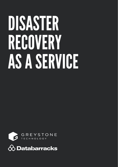# DISASTER RECOVERY AS A SERVICE



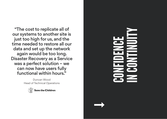"The cost to replicate all of our systems to another site is just too high for us, and the time needed to restore all our data and set up the network again would be too long. Disaster Recovery as a Service was a perfect solution – we can now have users fully functional within hours."

> Duncan Wood Head of Technical Operations



# CONFIDENCE IN CONTINUITY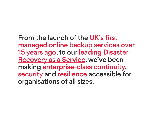From the launch of the UK's first managed online backup services over 15 years ago, to our leading Disaster Recovery as a Service, we've been making enterprise-class continuity, security and resilience accessible for organisations of all sizes.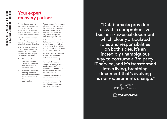### Your expert recovery partner

A good disaster recovery solution does more than just protect technology – it accounts for, and mitigates against, the disruption to your people, processes and assets.

DR solutions that privilege technology resilience over business continuity do not effectively prevent downtime.

That's why we've carefully built a DRaaS offering that supports technology just as much as it does people. We do this in two parts:

- 1. IT Recovery: The protection of critical systems and resources with a demonstrable ability to failover
- 2. Assisted IT Continuity Planning: with tools, resources and advice that deliver relevant, up-dodate and rehearsed recovery plans

This comprehensive approach takes work, and it's precisely the reason why cheap, techfocused offerings aren't effective. They're delivered by generalists, deployed once and forgotten about.

We're recovery specialists it's been our full time job for over a decade, and we know what it takesto deliver reliable, long-term resiliency that grows with you as you change.

We have a team with decades of shared experience that perform restores, testing and real invocations every day. The result of managing recovery runbooks for such a wide range of different infrastructures, applications and industries is genuine recovery expertise.

Perhaps most importantly, we deal with worst-case scenarios for a living – we know how to keep a cool head throughout even the most severe disruption.

"Databarracks provided us with a comprehensive business-as-usual document which clearly articulated roles and responsibilities on both sides. It's an incredibly unambiguous way to consume a 3rd party IT service, and it's transformed into a living, breathing document that's evolving as our requirements change."

> Luigi Salzano IT Project Director

**O** MyHomeMove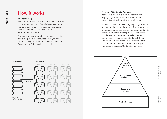## How it works

#### The Technology

The concept is really simple. In the past, IT disaster recovery was a matter of simply buying an exact replica of your physical environment and failing over to it when the primary environment experienced downtime.

Now, we replicate your critical systems and data, and only spin up the resources when you need them – usually for testing or failover. It's cheaper, faster, more efficient and more flexible.

#### Assisted IT Continuity Planning

As the UK's recovery expert, we specialise in helping organisations become more resilient against disruption in whatever form it takes.

Assisted IT Continuity Planning helps organisations understand their wider risk profile. Through a series of tools, resources and engagements, our continuity experts identify the critical processes and assets you depend on to operate normally. We then identify the risks that threaten to disrupt them, and create robust IT recovery plans that cater to your unique recovery requirements and support your broader Business Continuity objectives.



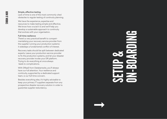#### Simple, effective testing

Lack of time is one of the most commonly cited obstacles to regular testing of continuity planning.

We have the experience, expertise and resources to make testing simple and effective. We know how crucial it is and we'll help you develop a sustainable approach to continuity that evolves with your organisation.

#### Full-time resilience

There's a very practical benefit to compartmentalising your recovery service provider from the supplier running your production systems: it sidesteps a fundamental conflict of interest.

Recovery tasks should be split between dedicated experts. Leave your production service provider to fix the production systems, and let your disaster recovery provider invoke your DR platform. Trying to do everything at once always leads to complications.

With DRaaS from Databarracks, you'll always have our full attention. Your resilience and continuity, supported by a dedicated support team, is our full-time concern.

Besides everything else, it's highly advisable to keep your primary IT suppliers separate from any prospective disaster recovery solution in order to guarantee supplier redundancy.

# SETUP & **ORIGIN**

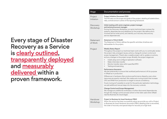Every stage of Disaster Recovery as a Service is **clearly outlined**, transparently deployed and measurably delivered within a proven framework.

| <b>Stage</b>                 | Documentation and process                                                                                                                                                                                                                                                                                                                                                                                                                                                                                                       |
|------------------------------|---------------------------------------------------------------------------------------------------------------------------------------------------------------------------------------------------------------------------------------------------------------------------------------------------------------------------------------------------------------------------------------------------------------------------------------------------------------------------------------------------------------------------------|
| Project<br>Initiation        | <b>Project Initiation Document (PID)</b><br>The PID sets out the scope and goals of the project, detailing all stakeholders,<br>risks, controls and an outline of the reporting framework.                                                                                                                                                                                                                                                                                                                                      |
| <b>Discovery</b><br>Workshop | Initial meeting with senior engineer, project manager<br>and technical account manager:<br>During the Discovery Workshop, our senior technical team reviews the<br>systems, dependencies and deadlines for the project. We define who's<br>involved (and at what point), and identify your recovery tiers and any<br>service dependencies.                                                                                                                                                                                      |
| Statement<br>of Work         | Statement of Work (SoW)<br>The Statement of Work, defines the specific activities, timelines and<br>deliverables for the project.                                                                                                                                                                                                                                                                                                                                                                                               |
| Project                      | <b>Weekly Status Report</b><br>Throughout the project our technical team work with you to continually review<br>the project risks, emergent issues, actions, change & contact control and<br>scope management. There's also a weekly project call to update on actions,<br>and any changes to the project scope. Broadly, the project stages are:<br>Install, setup and configure replication software<br>Make initial data transfer<br>Monitor transfer rates within specified RPO<br>$\bullet$<br>Testing and exercising<br>٠ |
|                              | <b>Performance Assurance</b><br>We test extensively to ensure that workload performance is fit for purpose<br>in DRaaS as in production.<br>Differences in hardware often produce performance disparity, even when                                                                                                                                                                                                                                                                                                              |
|                              | resources are exactly matched. We create auto-tuning scripts that increase<br>CPU and RAM from production to target to ensure consistency.<br>If auto-tuning isn't possible to script for the particular replication technology,<br>we add additional manual steps into the recovery runbook.                                                                                                                                                                                                                                   |
|                              | <b>Change Control and Scope Management</b><br>We manage any additional workloads or further discovered dependencies<br>though the change control process (which is then later used when DRaaS<br>reaches Business As Usual stage).                                                                                                                                                                                                                                                                                              |
| Handover<br>Workshop         | Project to Business As Usual Handover (PBH)<br>When the service has been successfully setup we provide you with a Project<br>to Business As Usual Handover document (PBH), detailing what is recovered,<br>the order of recovery and special steps for recovery at a high level.                                                                                                                                                                                                                                                |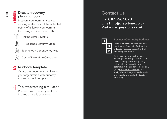### Disaster recovery planning tools

Measure your current risks, your existing resilience and the potential points of failure in your current technology environment with:



**UNDERSTAN** 

Risk Register & Matrix



**IT Resilience Maturity Model** 



Technology Dependency Map

Cost of Downtime Calculator

#### Runbook template PLAN

Create the document that'll save your organisation with our easyto-use runbook template.

#### Tabletop testing simulator  $\Xi$

Practice basic recovery protocol in three example scenarios.

# Contact Us

Call 0161 726 5020 Email info@greystone.co.uk Visit www.greystone.co.uk



#### Business Continuity Podcast

In early 2016 Databarracks launched the Business Continuity Podcast. It's a disaster recovery podcast with all the boring bits left out.

So if you'd like to know how suet pudding could bring one of the UK's busiest trading floors to a grinding halt, or why there used to be a caterpillar in the London Risk Register, go to www.thebcpcast.com for a straightforward, jargon-free discussion with people who deal with disasters for a living.